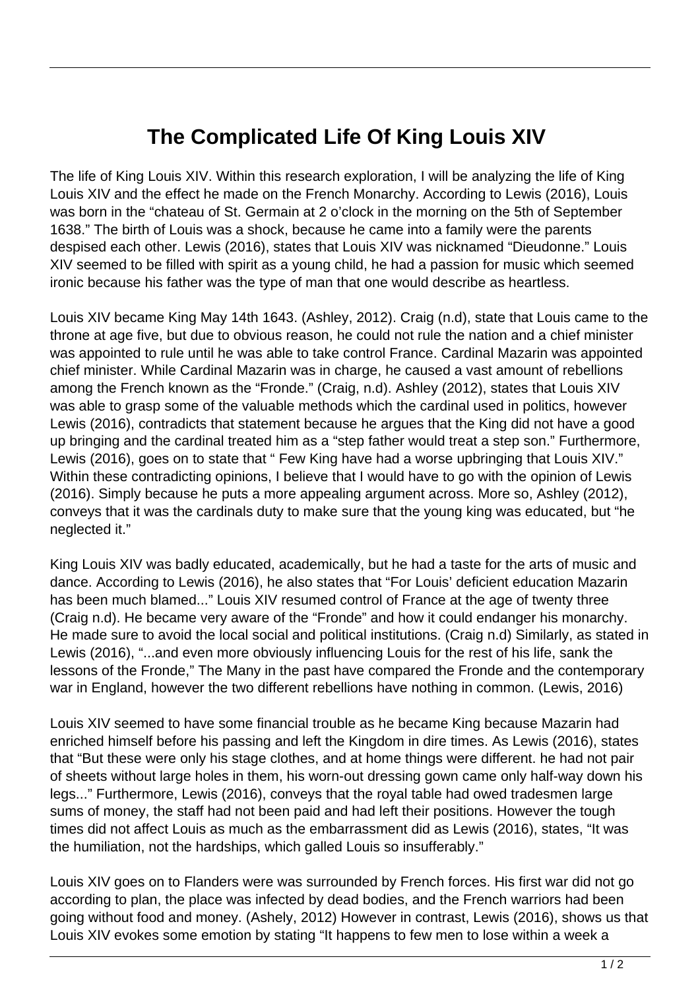## **The Complicated Life Of King Louis XIV**

The life of King Louis XIV. Within this research exploration, I will be analyzing the life of King Louis XIV and the effect he made on the French Monarchy. According to Lewis (2016), Louis was born in the "chateau of St. Germain at 2 o'clock in the morning on the 5th of September 1638." The birth of Louis was a shock, because he came into a family were the parents despised each other. Lewis (2016), states that Louis XIV was nicknamed "Dieudonne." Louis XIV seemed to be filled with spirit as a young child, he had a passion for music which seemed ironic because his father was the type of man that one would describe as heartless.

Louis XIV became King May 14th 1643. (Ashley, 2012). Craig (n.d), state that Louis came to the throne at age five, but due to obvious reason, he could not rule the nation and a chief minister was appointed to rule until he was able to take control France. Cardinal Mazarin was appointed chief minister. While Cardinal Mazarin was in charge, he caused a vast amount of rebellions among the French known as the "Fronde." (Craig, n.d). Ashley (2012), states that Louis XIV was able to grasp some of the valuable methods which the cardinal used in politics, however Lewis (2016), contradicts that statement because he argues that the King did not have a good up bringing and the cardinal treated him as a "step father would treat a step son." Furthermore, Lewis (2016), goes on to state that " Few King have had a worse upbringing that Louis XIV." Within these contradicting opinions, I believe that I would have to go with the opinion of Lewis (2016). Simply because he puts a more appealing argument across. More so, Ashley (2012), conveys that it was the cardinals duty to make sure that the young king was educated, but "he neglected it."

King Louis XIV was badly educated, academically, but he had a taste for the arts of music and dance. According to Lewis (2016), he also states that "For Louis' deficient education Mazarin has been much blamed..." Louis XIV resumed control of France at the age of twenty three (Craig n.d). He became very aware of the "Fronde" and how it could endanger his monarchy. He made sure to avoid the local social and political institutions. (Craig n.d) Similarly, as stated in Lewis (2016), "...and even more obviously influencing Louis for the rest of his life, sank the lessons of the Fronde," The Many in the past have compared the Fronde and the contemporary war in England, however the two different rebellions have nothing in common. (Lewis, 2016)

Louis XIV seemed to have some financial trouble as he became King because Mazarin had enriched himself before his passing and left the Kingdom in dire times. As Lewis (2016), states that "But these were only his stage clothes, and at home things were different. he had not pair of sheets without large holes in them, his worn-out dressing gown came only half-way down his legs..." Furthermore, Lewis (2016), conveys that the royal table had owed tradesmen large sums of money, the staff had not been paid and had left their positions. However the tough times did not affect Louis as much as the embarrassment did as Lewis (2016), states, "It was the humiliation, not the hardships, which galled Louis so insufferably."

Louis XIV goes on to Flanders were was surrounded by French forces. His first war did not go according to plan, the place was infected by dead bodies, and the French warriors had been going without food and money. (Ashely, 2012) However in contrast, Lewis (2016), shows us that Louis XIV evokes some emotion by stating "It happens to few men to lose within a week a